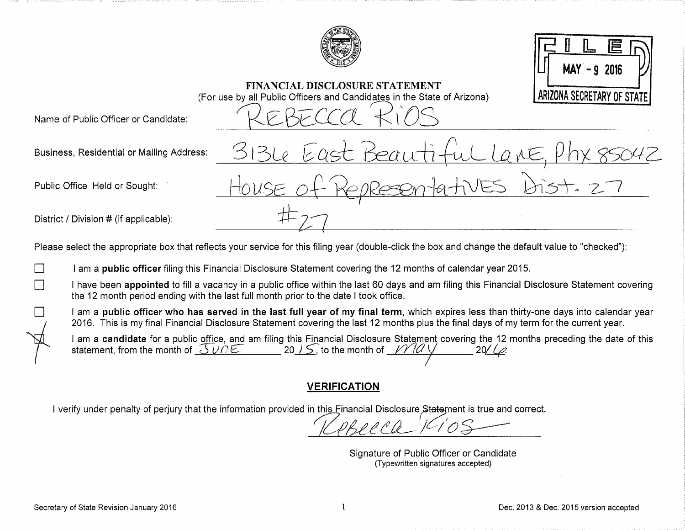

**FINANCIAL DISCLOSURE STATEMENT** 

(For use by all Public Officers and Candidates in the State of Arizona)

 $MAY - 92016$ ARIZONA SECRETARY OF STATE

Name of Public Officer or Candidate:

Business, Residential or Mailing Address:

Public Office Held or Sought:

District / Division # (if applicable):

Please select the appropriate box that reflects your service for this filing year (double-click the box and change the default value to "checked"):

I am a public officer filing this Financial Disclosure Statement covering the 12 months of calendar year 2015.

I have been appointed to fill a vacancy in a public office within the last 60 days and am filing this Financial Disclosure Statement covering the 12 month period ending with the last full month prior to the date I took office.

I am a public officer who has served in the last full year of my final term, which expires less than thirty-one days into calendar year 2016. This is my final Financial Disclosure Statement covering the last 12 months plus the final days of my term for the current year.

I am a candidate for a public office, and am filing this Financial Disclosure Statement covering the 12 months preceding the date of this statement, from the month of  $\mathcal{J}UPE$  20 /  $\mathcal{S}$ , to the month of  $\mathcal{V}IQV$  $20/10$ 

# **VERIFICATION**

I verify under penalty of periury that the information provided in this Financial Disclosure Statement is true and correct.

Signature of Public Officer or Candidate (Typewritten signatures accepted)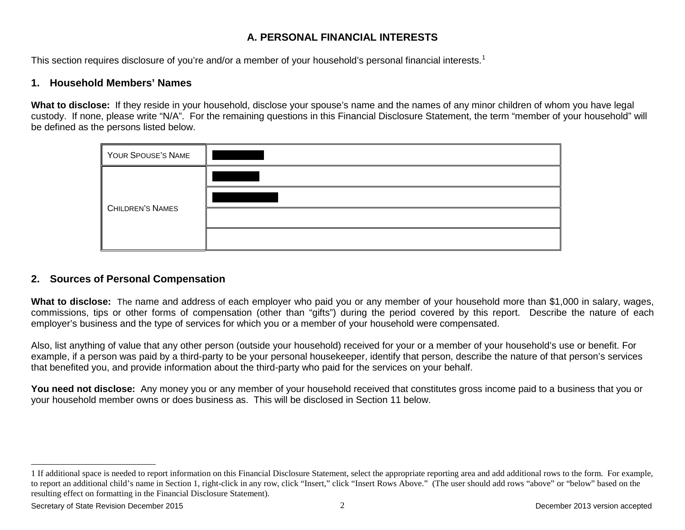## <span id="page-1-0"></span>**A. PERSONAL FINANCIAL INTERESTS**

This section requires disclosure of you're and/or a member of your household's personal financial interests.<sup>[1](#page-1-0)</sup>

### **1. Household Members' Names**

**What to disclose:** If they reside in your household, disclose your spouse's name and the names of any minor children of whom you have legal custody. If none, please write "N/A". For the remaining questions in this Financial Disclosure Statement, the term "member of your household" will be defined as the persons listed below.

| YOUR SPOUSE'S NAME      |  |
|-------------------------|--|
| <b>CHILDREN'S NAMES</b> |  |
|                         |  |
|                         |  |
|                         |  |

## **2. Sources of Personal Compensation**

**What to disclose:** The name and address of each employer who paid you or any member of your household more than \$1,000 in salary, wages, commissions, tips or other forms of compensation (other than "gifts") during the period covered by this report. Describe the nature of each employer's business and the type of services for which you or a member of your household were compensated.

Also, list anything of value that any other person (outside your household) received for your or a member of your household's use or benefit. For example, if a person was paid by a third-party to be your personal housekeeper, identify that person, describe the nature of that person's services that benefited you, and provide information about the third-party who paid for the services on your behalf.

**You need not disclose:** Any money you or any member of your household received that constitutes gross income paid to a business that you or your household member owns or does business as. This will be disclosed in Section 11 below.

 $\overline{a}$ 

<sup>1</sup> If additional space is needed to report information on this Financial Disclosure Statement, select the appropriate reporting area and add additional rows to the form. For example, to report an additional child's name in Section 1, right-click in any row, click "Insert," click "Insert Rows Above." (The user should add rows "above" or "below" based on the resulting effect on formatting in the Financial Disclosure Statement).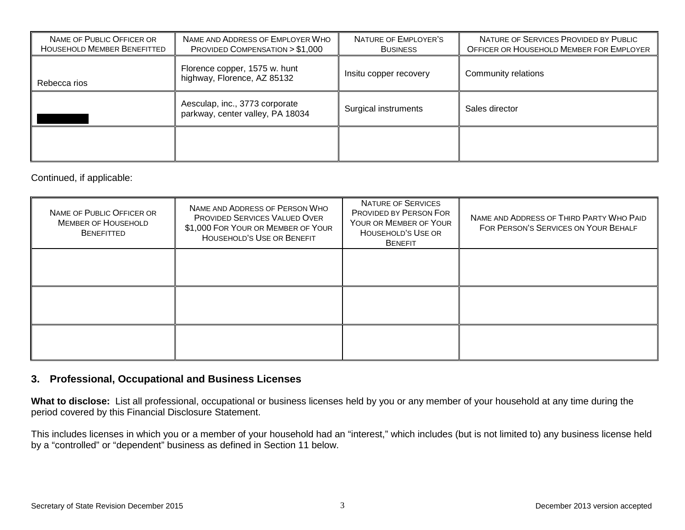| NAME OF PUBLIC OFFICER OR<br>HOUSEHOLD MEMBER BENEFITTED | NAME AND ADDRESS OF EMPLOYER WHO<br>PROVIDED COMPENSATION $> $1,000$ | NATURE OF EMPLOYER'S<br><b>BUSINESS</b> | NATURE OF SERVICES PROVIDED BY PUBLIC<br>OFFICER OR HOUSEHOLD MEMBER FOR EMPLOYER |
|----------------------------------------------------------|----------------------------------------------------------------------|-----------------------------------------|-----------------------------------------------------------------------------------|
| Rebecca rios                                             | Florence copper, 1575 w. hunt<br>highway, Florence, AZ 85132         | Insitu copper recovery                  | Community relations                                                               |
|                                                          | Aesculap, inc., 3773 corporate<br>parkway, center valley, PA 18034   | Surgical instruments                    | Sales director                                                                    |
|                                                          |                                                                      |                                         |                                                                                   |

Continued, if applicable:

| NAME OF PUBLIC OFFICER OR<br><b>MEMBER OF HOUSEHOLD</b><br><b>BENEFITTED</b> | NAME AND ADDRESS OF PERSON WHO<br>PROVIDED SERVICES VALUED OVER<br>\$1,000 FOR YOUR OR MEMBER OF YOUR<br>HOUSEHOLD'S USE OR BENEFIT | NATURE OF SERVICES<br><b>PROVIDED BY PERSON FOR</b><br>YOUR OR MEMBER OF YOUR<br>HOUSEHOLD'S USE OR<br><b>BENEFIT</b> | NAME AND ADDRESS OF THIRD PARTY WHO PAID<br>FOR PERSON'S SERVICES ON YOUR BEHALF |
|------------------------------------------------------------------------------|-------------------------------------------------------------------------------------------------------------------------------------|-----------------------------------------------------------------------------------------------------------------------|----------------------------------------------------------------------------------|
|                                                                              |                                                                                                                                     |                                                                                                                       |                                                                                  |
|                                                                              |                                                                                                                                     |                                                                                                                       |                                                                                  |
|                                                                              |                                                                                                                                     |                                                                                                                       |                                                                                  |

#### **3. Professional, Occupational and Business Licenses**

**What to disclose:** List all professional, occupational or business licenses held by you or any member of your household at any time during the period covered by this Financial Disclosure Statement.

This includes licenses in which you or a member of your household had an "interest," which includes (but is not limited to) any business license held by a "controlled" or "dependent" business as defined in Section 11 below.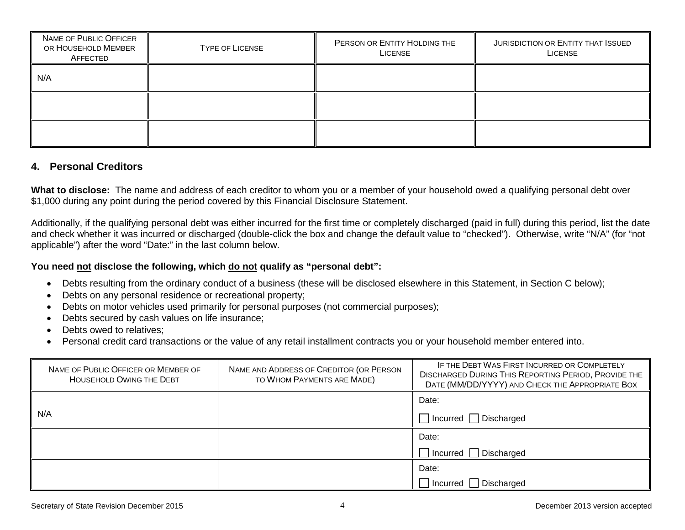| NAME OF PUBLIC OFFICER<br>OR HOUSEHOLD MEMBER<br>AFFECTED | <b>TYPE OF LICENSE</b> | PERSON OR ENTITY HOLDING THE<br>LICENSE | JURISDICTION OR ENTITY THAT ISSUED<br>LICENSE |
|-----------------------------------------------------------|------------------------|-----------------------------------------|-----------------------------------------------|
| N/A                                                       |                        |                                         |                                               |
|                                                           |                        |                                         |                                               |
|                                                           |                        |                                         |                                               |

#### **4. Personal Creditors**

**What to disclose:** The name and address of each creditor to whom you or a member of your household owed a qualifying personal debt over \$1,000 during any point during the period covered by this Financial Disclosure Statement.

Additionally, if the qualifying personal debt was either incurred for the first time or completely discharged (paid in full) during this period, list the date and check whether it was incurred or discharged (double-click the box and change the default value to "checked"). Otherwise, write "N/A" (for "not applicable") after the word "Date:" in the last column below.

#### **You need not disclose the following, which do not qualify as "personal debt":**

- Debts resulting from the ordinary conduct of a business (these will be disclosed elsewhere in this Statement, in Section C below);
- Debts on any personal residence or recreational property;
- Debts on motor vehicles used primarily for personal purposes (not commercial purposes);
- Debts secured by cash values on life insurance;
- Debts owed to relatives:
- Personal credit card transactions or the value of any retail installment contracts you or your household member entered into.

| NAME OF PUBLIC OFFICER OR MEMBER OF<br><b>HOUSEHOLD OWING THE DEBT</b> | NAME AND ADDRESS OF CREDITOR (OR PERSON<br>TO WHOM PAYMENTS ARE MADE) | IF THE DEBT WAS FIRST INCURRED OR COMPLETELY<br><b>DISCHARGED DURING THIS REPORTING PERIOD, PROVIDE THE</b><br>DATE (MM/DD/YYYY) AND CHECK THE APPROPRIATE BOX |
|------------------------------------------------------------------------|-----------------------------------------------------------------------|----------------------------------------------------------------------------------------------------------------------------------------------------------------|
|                                                                        |                                                                       | Date:                                                                                                                                                          |
| N/A                                                                    |                                                                       | $\Box$ Incurred $\Box$ Discharged                                                                                                                              |
|                                                                        |                                                                       | Date:                                                                                                                                                          |
|                                                                        |                                                                       | Incurred Discharged                                                                                                                                            |
|                                                                        |                                                                       | Date:                                                                                                                                                          |
|                                                                        |                                                                       | □ Incurred Discharged                                                                                                                                          |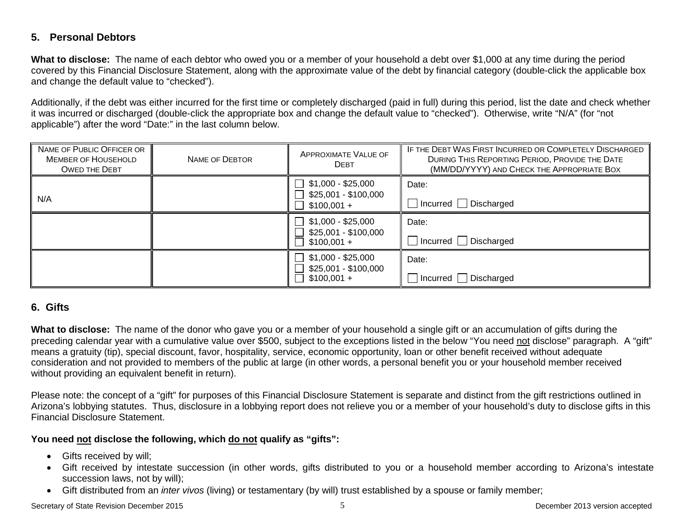## **5. Personal Debtors**

**What to disclose:** The name of each debtor who owed you or a member of your household a debt over \$1,000 at any time during the period covered by this Financial Disclosure Statement, along with the approximate value of the debt by financial category (double-click the applicable box and change the default value to "checked").

Additionally, if the debt was either incurred for the first time or completely discharged (paid in full) during this period, list the date and check whether it was incurred or discharged (double-click the appropriate box and change the default value to "checked"). Otherwise, write "N/A" (for "not applicable") after the word "Date:" in the last column below.

| NAME OF PUBLIC OFFICER OR<br><b>MEMBER OF HOUSEHOLD</b><br><b>OWED THE DEBT</b> | NAME OF DEBTOR | <b>APPROXIMATE VALUE OF</b><br><b>DEBT</b>                                            | IF THE DEBT WAS FIRST INCURRED OR COMPLETELY DISCHARGED<br>DURING THIS REPORTING PERIOD, PROVIDE THE DATE<br>(MM/DD/YYYY) AND CHECK THE APPROPRIATE BOX |
|---------------------------------------------------------------------------------|----------------|---------------------------------------------------------------------------------------|---------------------------------------------------------------------------------------------------------------------------------------------------------|
| N/A                                                                             |                | $\Box$ \$1,000 - \$25,000<br>\$25,001 - \$100,000<br>$\Box$<br>$$100,001 +$<br>$\Box$ | Date:<br>$\Box$ Incurred $\Box$ Discharged                                                                                                              |
|                                                                                 |                | $\Box$ \$1,000 - \$25,000<br>\$25,001 - \$100,000<br>$$100,001 +$                     | Date:<br>□ Incurred □ Discharged                                                                                                                        |
|                                                                                 |                | \$1,000 - \$25,000<br>\$25,001 - \$100,000<br>$$100,001 +$                            | Date:<br>$\Box$ Incurred $\Box$ Discharged                                                                                                              |

## **6. Gifts**

**What to disclose:** The name of the donor who gave you or a member of your household a single gift or an accumulation of gifts during the preceding calendar year with a cumulative value over \$500, subject to the exceptions listed in the below "You need not disclose" paragraph. A "gift" means a gratuity (tip), special discount, favor, hospitality, service, economic opportunity, loan or other benefit received without adequate consideration and not provided to members of the public at large (in other words, a personal benefit you or your household member received without providing an equivalent benefit in return).

Please note: the concept of a "gift" for purposes of this Financial Disclosure Statement is separate and distinct from the gift restrictions outlined in Arizona's lobbying statutes. Thus, disclosure in a lobbying report does not relieve you or a member of your household's duty to disclose gifts in this Financial Disclosure Statement.

#### **You need not disclose the following, which do not qualify as "gifts":**

- Gifts received by will;
- Gift received by intestate succession (in other words, gifts distributed to you or a household member according to Arizona's intestate succession laws, not by will);
- Gift distributed from an *inter vivos* (living) or testamentary (by will) trust established by a spouse or family member;

Secretary of State Revision December 2015 **Systems** 2013 version accepted by the Secretary of State Revision Accepted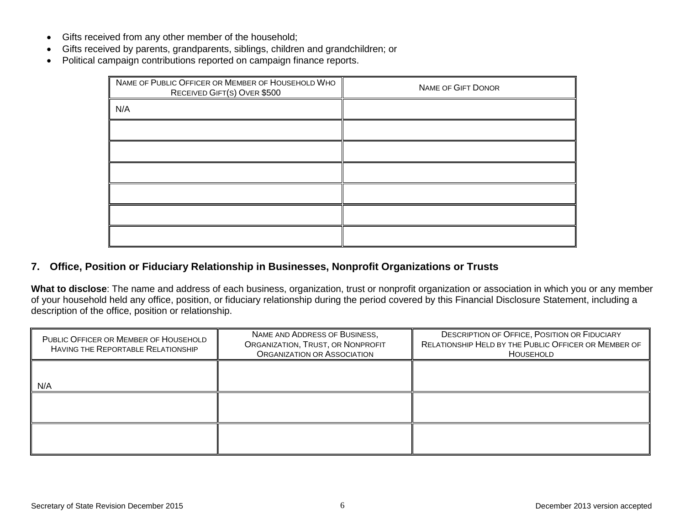- Gifts received from any other member of the household;
- Gifts received by parents, grandparents, siblings, children and grandchildren; or
- Political campaign contributions reported on campaign finance reports.

| NAME OF PUBLIC OFFICER OR MEMBER OF HOUSEHOLD WHO<br>RECEIVED GIFT(S) OVER \$500 | NAME OF GIFT DONOR |
|----------------------------------------------------------------------------------|--------------------|
| N/A                                                                              |                    |
|                                                                                  |                    |
|                                                                                  |                    |
|                                                                                  |                    |
|                                                                                  |                    |
|                                                                                  |                    |
|                                                                                  |                    |

## **7. Office, Position or Fiduciary Relationship in Businesses, Nonprofit Organizations or Trusts**

**What to disclose**: The name and address of each business, organization, trust or nonprofit organization or association in which you or any member of your household held any office, position, or fiduciary relationship during the period covered by this Financial Disclosure Statement, including a description of the office, position or relationship.

| PUBLIC OFFICER OR MEMBER OF HOUSEHOLD<br>HAVING THE REPORTABLE RELATIONSHIP | NAME AND ADDRESS OF BUSINESS,<br>ORGANIZATION, TRUST, OR NONPROFIT<br>ORGANIZATION OR ASSOCIATION | <b>DESCRIPTION OF OFFICE, POSITION OR FIDUCIARY</b><br>RELATIONSHIP HELD BY THE PUBLIC OFFICER OR MEMBER OF<br>HOUSEHOLD |
|-----------------------------------------------------------------------------|---------------------------------------------------------------------------------------------------|--------------------------------------------------------------------------------------------------------------------------|
| N/A                                                                         |                                                                                                   |                                                                                                                          |
|                                                                             |                                                                                                   |                                                                                                                          |
|                                                                             |                                                                                                   |                                                                                                                          |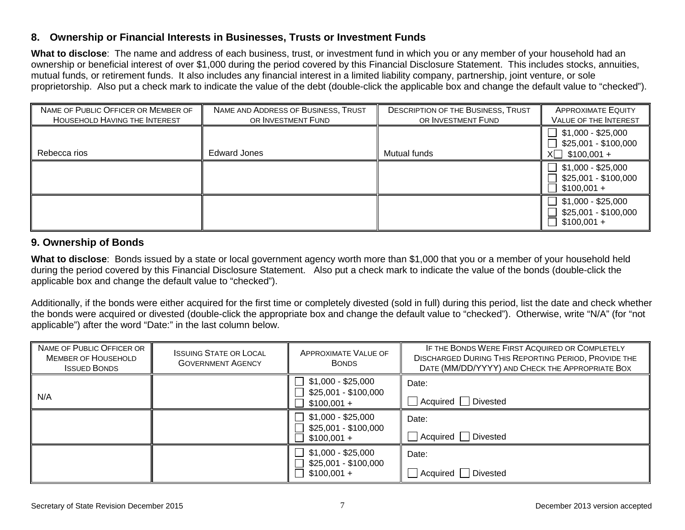#### **8. Ownership or Financial Interests in Businesses, Trusts or Investment Funds**

**What to disclose**: The name and address of each business, trust, or investment fund in which you or any member of your household had an ownership or beneficial interest of over \$1,000 during the period covered by this Financial Disclosure Statement. This includes stocks, annuities, mutual funds, or retirement funds. It also includes any financial interest in a limited liability company, partnership, joint venture, or sole proprietorship. Also put a check mark to indicate the value of the debt (double-click the applicable box and change the default value to "checked").

| NAME OF PUBLIC OFFICER OR MEMBER OF<br>HOUSEHOLD HAVING THE INTEREST | NAME AND ADDRESS OF BUSINESS, TRUST<br>OR INVESTMENT FUND | <b>DESCRIPTION OF THE BUSINESS, TRUST</b><br>OR INVESTMENT FUND | <b>APPROXIMATE EQUITY</b><br><b>VALUE OF THE INTEREST</b>                                 |
|----------------------------------------------------------------------|-----------------------------------------------------------|-----------------------------------------------------------------|-------------------------------------------------------------------------------------------|
| Rebecca rios                                                         | <b>Edward Jones</b>                                       | Mutual funds                                                    | $\exists$ \$1,000 - \$25,000<br>$\exists$ \$25,001 - \$100,000<br>$X \square$ \$100,001 + |
|                                                                      |                                                           |                                                                 | $\top$ \$1,000 - \$25,000<br>\$25,001 - \$100,000<br>$$100,001 +$                         |
|                                                                      |                                                           |                                                                 | $$1,000 - $25,000$<br>\$25,001 - \$100,000<br>$$100,001 +$                                |

## **9. Ownership of Bonds**

**What to disclose**: Bonds issued by a state or local government agency worth more than \$1,000 that you or a member of your household held during the period covered by this Financial Disclosure Statement. Also put a check mark to indicate the value of the bonds (double-click the applicable box and change the default value to "checked").

Additionally, if the bonds were either acquired for the first time or completely divested (sold in full) during this period, list the date and check whether the bonds were acquired or divested (double-click the appropriate box and change the default value to "checked"). Otherwise, write "N/A" (for "not applicable") after the word "Date:" in the last column below.

| NAME OF PUBLIC OFFICER OR<br><b>MEMBER OF HOUSEHOLD</b><br><b>ISSUED BONDS</b> | <b>ISSUING STATE OR LOCAL</b><br><b>GOVERNMENT AGENCY</b> | <b>APPROXIMATE VALUE OF</b><br><b>BONDS</b>                                          | IF THE BONDS WERE FIRST ACQUIRED OR COMPLETELY<br><b>DISCHARGED DURING THIS REPORTING PERIOD, PROVIDE THE</b><br>DATE (MM/DD/YYYY) AND CHECK THE APPROPRIATE BOX |
|--------------------------------------------------------------------------------|-----------------------------------------------------------|--------------------------------------------------------------------------------------|------------------------------------------------------------------------------------------------------------------------------------------------------------------|
| N/A                                                                            |                                                           | $$1,000 - $25,000$<br>\$25,001 - \$100,000<br>$$100,001 +$                           | Date:<br>Acquired   Divested                                                                                                                                     |
|                                                                                |                                                           | $$1,000 - $25,000$<br>$\perp$<br>\$25,001 - \$100,000<br>$$100,001 +$                | Date:<br>Divested<br>Acquired                                                                                                                                    |
|                                                                                |                                                           | $\mathbf{L}$<br>$$1,000 - $25,000$<br>\$25,001 - \$100,000<br>$\Box$<br>$$100,001 +$ | Date:<br>Divested<br>Acquired                                                                                                                                    |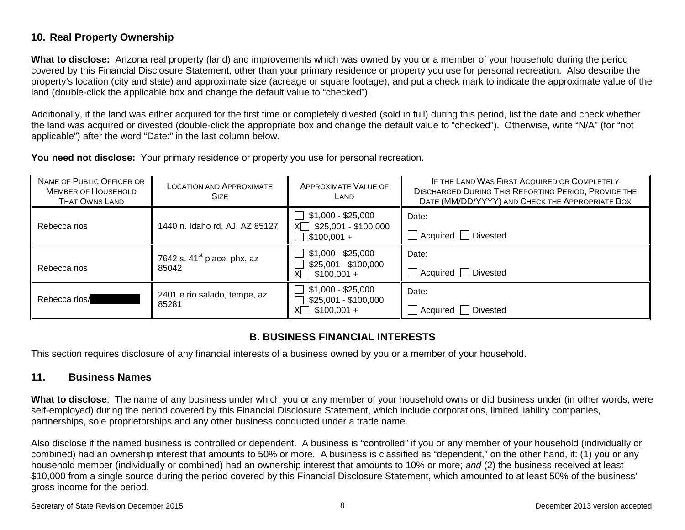## **10. Real Property Ownership**

**What to disclose:** Arizona real property (land) and improvements which was owned by you or a member of your household during the period covered by this Financial Disclosure Statement, other than your primary residence or property you use for personal recreation. Also describe the property's location (city and state) and approximate size (acreage or square footage), and put a check mark to indicate the approximate value of the land (double-click the applicable box and change the default value to "checked").

Additionally, if the land was either acquired for the first time or completely divested (sold in full) during this period, list the date and check whether the land was acquired or divested (double-click the appropriate box and change the default value to "checked"). Otherwise, write "N/A" (for "not applicable") after the word "Date:" in the last column below.

**You need not disclose:** Your primary residence or property you use for personal recreation.

| NAME OF PUBLIC OFFICER OR<br><b>MEMBER OF HOUSEHOLD</b><br><b>THAT OWNS LAND</b> | <b>LOCATION AND APPROXIMATE</b><br><b>SIZE</b>   | <b>APPROXIMATE VALUE OF</b><br>LAND                                                     | IF THE LAND WAS FIRST ACQUIRED OR COMPLETELY<br><b>DISCHARGED DURING THIS REPORTING PERIOD, PROVIDE THE</b><br>DATE (MM/DD/YYYY) AND CHECK THE APPROPRIATE BOX |
|----------------------------------------------------------------------------------|--------------------------------------------------|-----------------------------------------------------------------------------------------|----------------------------------------------------------------------------------------------------------------------------------------------------------------|
| Rebecca rios                                                                     | 1440 n. Idaho rd, AJ, AZ 85127                   | $\Box$ \$1,000 - \$25,000<br>$X \square$ \$25,001 - \$100,000<br>$\Box$<br>$$100,001 +$ | Date:<br>$\Box$ Acquired $\Box$ Divested                                                                                                                       |
| Rebecca rios                                                                     | 7642 s. $41^{\text{st}}$ place, phx, az<br>85042 | $$1,000 - $25,000$<br>$\perp$<br>\$25,001 - \$100,000<br>$X \Box$ \$100,001 +           | Date:<br>Acquired □ Divested                                                                                                                                   |
| Rebecca rios/                                                                    | 2401 e rio salado, tempe, az<br>85281            | $\Box$<br>$$1,000 - $25,000$<br>\$25,001 - \$100,000<br>$X \cap$ \$100,001 +            | Date:<br>Acquired Divested                                                                                                                                     |

## **B. BUSINESS FINANCIAL INTERESTS**

This section requires disclosure of any financial interests of a business owned by you or a member of your household.

## **11. Business Names**

**What to disclose**: The name of any business under which you or any member of your household owns or did business under (in other words, were self-employed) during the period covered by this Financial Disclosure Statement, which include corporations, limited liability companies, partnerships, sole proprietorships and any other business conducted under a trade name.

Also disclose if the named business is controlled or dependent. A business is "controlled" if you or any member of your household (individually or combined) had an ownership interest that amounts to 50% or more. A business is classified as "dependent," on the other hand, if: (1) you or any household member (individually or combined) had an ownership interest that amounts to 10% or more; *and* (2) the business received at least \$10,000 from a single source during the period covered by this Financial Disclosure Statement, which amounted to at least 50% of the business' gross income for the period.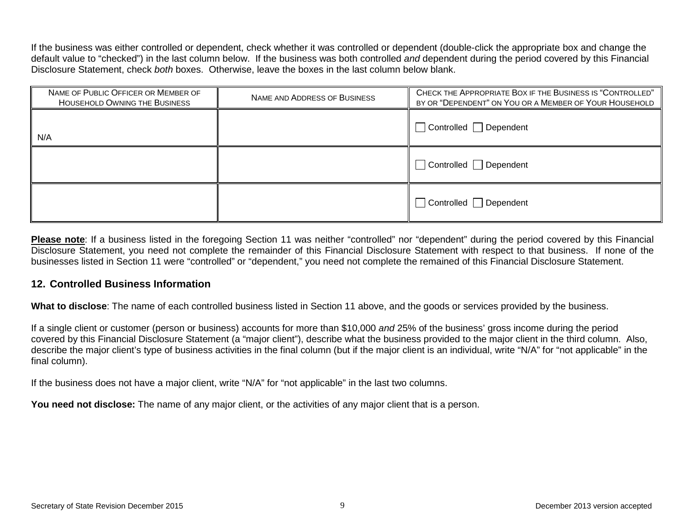If the business was either controlled or dependent, check whether it was controlled or dependent (double-click the appropriate box and change the default value to "checked") in the last column below. If the business was both controlled *and* dependent during the period covered by this Financial Disclosure Statement, check *both* boxes. Otherwise, leave the boxes in the last column below blank.

| NAME OF PUBLIC OFFICER OR MEMBER OF<br>HOUSEHOLD OWNING THE BUSINESS | NAME AND ADDRESS OF BUSINESS | CHECK THE APPROPRIATE BOX IF THE BUSINESS IS "CONTROLLED"<br>BY OR "DEPENDENT" ON YOU OR A MEMBER OF YOUR HOUSEHOLD |
|----------------------------------------------------------------------|------------------------------|---------------------------------------------------------------------------------------------------------------------|
| N/A                                                                  |                              | $\Box$ Controlled $\Box$ Dependent                                                                                  |
|                                                                      |                              | □ Controlled □ Dependent                                                                                            |
|                                                                      |                              | Controlled Dependent                                                                                                |

Please note: If a business listed in the foregoing Section 11 was neither "controlled" nor "dependent" during the period covered by this Financial Disclosure Statement, you need not complete the remainder of this Financial Disclosure Statement with respect to that business. If none of the businesses listed in Section 11 were "controlled" or "dependent," you need not complete the remained of this Financial Disclosure Statement.

#### **12. Controlled Business Information**

**What to disclose**: The name of each controlled business listed in Section 11 above, and the goods or services provided by the business.

If a single client or customer (person or business) accounts for more than \$10,000 *and* 25% of the business' gross income during the period covered by this Financial Disclosure Statement (a "major client"), describe what the business provided to the major client in the third column. Also, describe the major client's type of business activities in the final column (but if the major client is an individual, write "N/A" for "not applicable" in the final column).

If the business does not have a major client, write "N/A" for "not applicable" in the last two columns.

You need not disclose: The name of any major client, or the activities of any major client that is a person.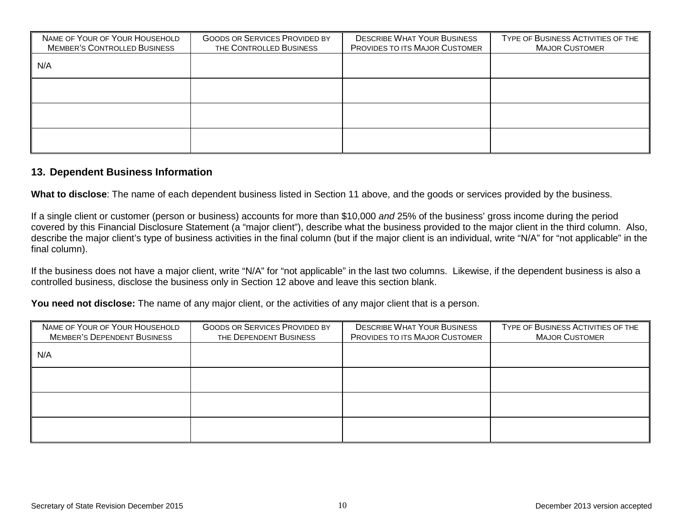| NAME OF YOUR OF YOUR HOUSEHOLD<br><b>MEMBER'S CONTROLLED BUSINESS</b> | <b>GOODS OR SERVICES PROVIDED BY</b><br>THE CONTROLLED BUSINESS | <b>DESCRIBE WHAT YOUR BUSINESS</b><br>PROVIDES TO ITS MAJOR CUSTOMER | TYPE OF BUSINESS ACTIVITIES OF THE<br><b>MAJOR CUSTOMER</b> |
|-----------------------------------------------------------------------|-----------------------------------------------------------------|----------------------------------------------------------------------|-------------------------------------------------------------|
| N/A                                                                   |                                                                 |                                                                      |                                                             |
|                                                                       |                                                                 |                                                                      |                                                             |
|                                                                       |                                                                 |                                                                      |                                                             |
|                                                                       |                                                                 |                                                                      |                                                             |

#### **13. Dependent Business Information**

**What to disclose**: The name of each dependent business listed in Section 11 above, and the goods or services provided by the business.

If a single client or customer (person or business) accounts for more than \$10,000 *and* 25% of the business' gross income during the period covered by this Financial Disclosure Statement (a "major client"), describe what the business provided to the major client in the third column. Also, describe the major client's type of business activities in the final column (but if the major client is an individual, write "N/A" for "not applicable" in the final column).

If the business does not have a major client, write "N/A" for "not applicable" in the last two columns. Likewise, if the dependent business is also a controlled business, disclose the business only in Section 12 above and leave this section blank.

**You need not disclose:** The name of any major client, or the activities of any major client that is a person.

| NAME OF YOUR OF YOUR HOUSEHOLD     | <b>GOODS OR SERVICES PROVIDED BY</b> | <b>DESCRIBE WHAT YOUR BUSINESS</b> | TYPE OF BUSINESS ACTIVITIES OF THE |
|------------------------------------|--------------------------------------|------------------------------------|------------------------------------|
| <b>MEMBER'S DEPENDENT BUSINESS</b> | THE DEPENDENT BUSINESS               | PROVIDES TO ITS MAJOR CUSTOMER     | <b>MAJOR CUSTOMER</b>              |
| N/A                                |                                      |                                    |                                    |
|                                    |                                      |                                    |                                    |
|                                    |                                      |                                    |                                    |
|                                    |                                      |                                    |                                    |
|                                    |                                      |                                    |                                    |
|                                    |                                      |                                    |                                    |
|                                    |                                      |                                    |                                    |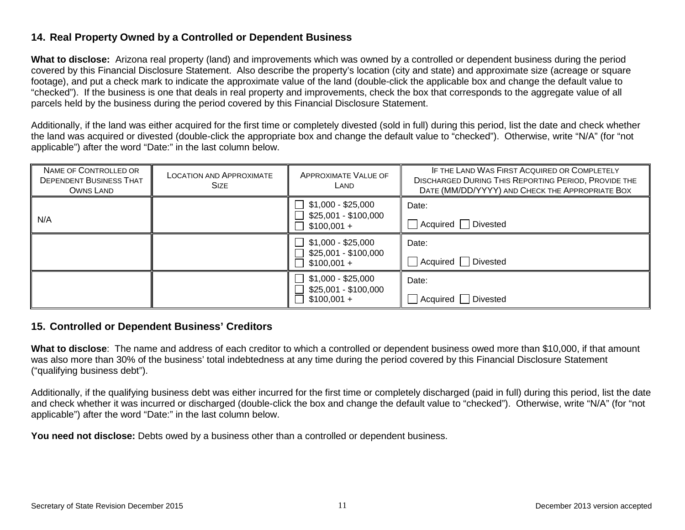## **14. Real Property Owned by a Controlled or Dependent Business**

**What to disclose:** Arizona real property (land) and improvements which was owned by a controlled or dependent business during the period covered by this Financial Disclosure Statement. Also describe the property's location (city and state) and approximate size (acreage or square footage), and put a check mark to indicate the approximate value of the land (double-click the applicable box and change the default value to "checked"). If the business is one that deals in real property and improvements, check the box that corresponds to the aggregate value of all parcels held by the business during the period covered by this Financial Disclosure Statement.

Additionally, if the land was either acquired for the first time or completely divested (sold in full) during this period, list the date and check whether the land was acquired or divested (double-click the appropriate box and change the default value to "checked"). Otherwise, write "N/A" (for "not applicable") after the word "Date:" in the last column below.

| NAME OF CONTROLLED OR<br><b>DEPENDENT BUSINESS THAT</b><br>OWNS LAND | <b>LOCATION AND APPROXIMATE</b><br><b>SIZE</b> | APPROXIMATE VALUE OF<br>LAND                               | IF THE LAND WAS FIRST ACQUIRED OR COMPLETELY<br><b>DISCHARGED DURING THIS REPORTING PERIOD, PROVIDE THE</b><br>DATE (MM/DD/YYYY) AND CHECK THE APPROPRIATE BOX |
|----------------------------------------------------------------------|------------------------------------------------|------------------------------------------------------------|----------------------------------------------------------------------------------------------------------------------------------------------------------------|
| N/A                                                                  |                                                | \$1,000 - \$25,000<br>\$25,001 - \$100,000<br>$$100,001 +$ | Date:<br>Acquired Divested                                                                                                                                     |
|                                                                      |                                                | \$1,000 - \$25,000<br>\$25,001 - \$100,000<br>$$100,001 +$ | Date:<br>Acquired Divested                                                                                                                                     |
|                                                                      |                                                | $$1,000 - $25,000$<br>\$25,001 - \$100,000<br>$$100,001 +$ | Date:<br>Acquired Divested                                                                                                                                     |

#### **15. Controlled or Dependent Business' Creditors**

**What to disclose**: The name and address of each creditor to which a controlled or dependent business owed more than \$10,000, if that amount was also more than 30% of the business' total indebtedness at any time during the period covered by this Financial Disclosure Statement ("qualifying business debt").

Additionally, if the qualifying business debt was either incurred for the first time or completely discharged (paid in full) during this period, list the date and check whether it was incurred or discharged (double-click the box and change the default value to "checked"). Otherwise, write "N/A" (for "not applicable") after the word "Date:" in the last column below.

**You need not disclose:** Debts owed by a business other than a controlled or dependent business.